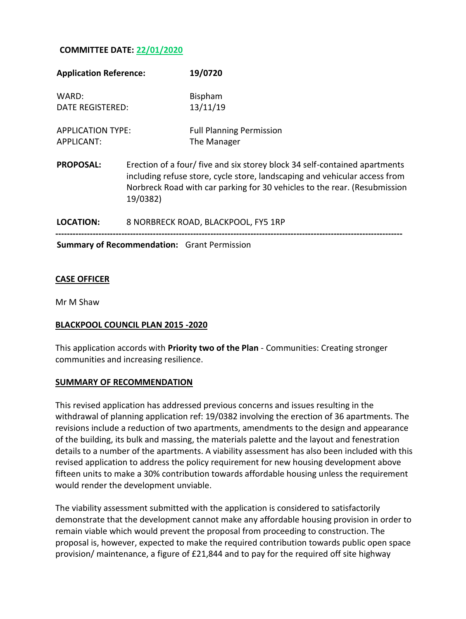## **COMMITTEE DATE: 22/01/2020**

| <b>Application Reference:</b>          |                                                                                                                                                                                                                                                   | 19/0720                                        |
|----------------------------------------|---------------------------------------------------------------------------------------------------------------------------------------------------------------------------------------------------------------------------------------------------|------------------------------------------------|
| WARD:<br>DATE REGISTERED:              |                                                                                                                                                                                                                                                   | <b>Bispham</b><br>13/11/19                     |
| <b>APPLICATION TYPE:</b><br>APPLICANT: |                                                                                                                                                                                                                                                   | <b>Full Planning Permission</b><br>The Manager |
| <b>PROPOSAL:</b>                       | Erection of a four/ five and six storey block 34 self-contained apartments<br>including refuse store, cycle store, landscaping and vehicular access from<br>Norbreck Road with car parking for 30 vehicles to the rear. (Resubmission<br>19/0382) |                                                |
| LOCATION:                              | 8 NORBRECK ROAD, BLACKPOOL, FY5 1RP                                                                                                                                                                                                               |                                                |
|                                        |                                                                                                                                                                                                                                                   |                                                |

**Summary of Recommendation:** Grant Permission

### **CASE OFFICER**

Mr M Shaw

#### **BLACKPOOL COUNCIL PLAN 2015 -2020**

This application accords with **Priority two of the Plan** - Communities: Creating stronger communities and increasing resilience.

#### **SUMMARY OF RECOMMENDATION**

This revised application has addressed previous concerns and issues resulting in the withdrawal of planning application ref: 19/0382 involving the erection of 36 apartments. The revisions include a reduction of two apartments, amendments to the design and appearance of the building, its bulk and massing, the materials palette and the layout and fenestration details to a number of the apartments. A viability assessment has also been included with this revised application to address the policy requirement for new housing development above fifteen units to make a 30% contribution towards affordable housing unless the requirement would render the development unviable.

The viability assessment submitted with the application is considered to satisfactorily demonstrate that the development cannot make any affordable housing provision in order to remain viable which would prevent the proposal from proceeding to construction. The proposal is, however, expected to make the required contribution towards public open space provision/ maintenance, a figure of £21,844 and to pay for the required off site highway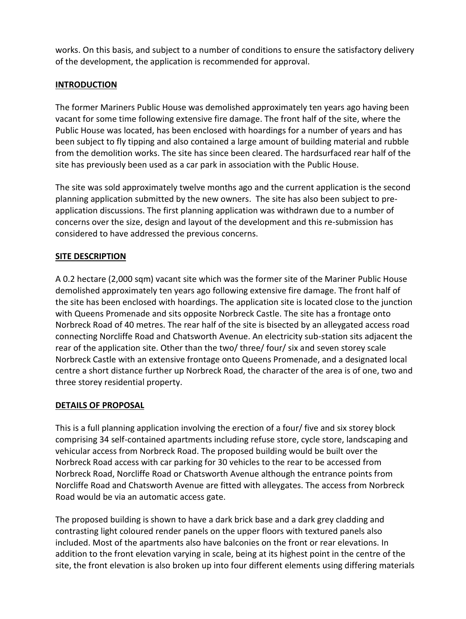works. On this basis, and subject to a number of conditions to ensure the satisfactory delivery of the development, the application is recommended for approval.

# **INTRODUCTION**

The former Mariners Public House was demolished approximately ten years ago having been vacant for some time following extensive fire damage. The front half of the site, where the Public House was located, has been enclosed with hoardings for a number of years and has been subject to fly tipping and also contained a large amount of building material and rubble from the demolition works. The site has since been cleared. The hardsurfaced rear half of the site has previously been used as a car park in association with the Public House.

The site was sold approximately twelve months ago and the current application is the second planning application submitted by the new owners. The site has also been subject to preapplication discussions. The first planning application was withdrawn due to a number of concerns over the size, design and layout of the development and this re-submission has considered to have addressed the previous concerns.

# **SITE DESCRIPTION**

A 0.2 hectare (2,000 sqm) vacant site which was the former site of the Mariner Public House demolished approximately ten years ago following extensive fire damage. The front half of the site has been enclosed with hoardings. The application site is located close to the junction with Queens Promenade and sits opposite Norbreck Castle. The site has a frontage onto Norbreck Road of 40 metres. The rear half of the site is bisected by an alleygated access road connecting Norcliffe Road and Chatsworth Avenue. An electricity sub-station sits adjacent the rear of the application site. Other than the two/ three/ four/ six and seven storey scale Norbreck Castle with an extensive frontage onto Queens Promenade, and a designated local centre a short distance further up Norbreck Road, the character of the area is of one, two and three storey residential property.

# **DETAILS OF PROPOSAL**

This is a full planning application involving the erection of a four/ five and six storey block comprising 34 self-contained apartments including refuse store, cycle store, landscaping and vehicular access from Norbreck Road. The proposed building would be built over the Norbreck Road access with car parking for 30 vehicles to the rear to be accessed from Norbreck Road, Norcliffe Road or Chatsworth Avenue although the entrance points from Norcliffe Road and Chatsworth Avenue are fitted with alleygates. The access from Norbreck Road would be via an automatic access gate.

The proposed building is shown to have a dark brick base and a dark grey cladding and contrasting light coloured render panels on the upper floors with textured panels also included. Most of the apartments also have balconies on the front or rear elevations. In addition to the front elevation varying in scale, being at its highest point in the centre of the site, the front elevation is also broken up into four different elements using differing materials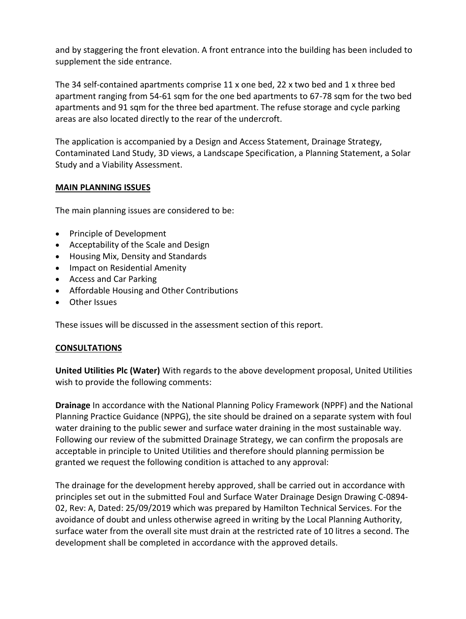and by staggering the front elevation. A front entrance into the building has been included to supplement the side entrance.

The 34 self-contained apartments comprise 11 x one bed, 22 x two bed and 1 x three bed apartment ranging from 54-61 sqm for the one bed apartments to 67-78 sqm for the two bed apartments and 91 sqm for the three bed apartment. The refuse storage and cycle parking areas are also located directly to the rear of the undercroft.

The application is accompanied by a Design and Access Statement, Drainage Strategy, Contaminated Land Study, 3D views, a Landscape Specification, a Planning Statement, a Solar Study and a Viability Assessment.

## **MAIN PLANNING ISSUES**

The main planning issues are considered to be:

- Principle of Development
- Acceptability of the Scale and Design
- Housing Mix, Density and Standards
- Impact on Residential Amenity
- Access and Car Parking
- Affordable Housing and Other Contributions
- Other Issues

These issues will be discussed in the assessment section of this report.

# **CONSULTATIONS**

**United Utilities Plc (Water)** With regards to the above development proposal, United Utilities wish to provide the following comments:

**Drainage** In accordance with the National Planning Policy Framework (NPPF) and the National Planning Practice Guidance (NPPG), the site should be drained on a separate system with foul water draining to the public sewer and surface water draining in the most sustainable way. Following our review of the submitted Drainage Strategy, we can confirm the proposals are acceptable in principle to United Utilities and therefore should planning permission be granted we request the following condition is attached to any approval:

The drainage for the development hereby approved, shall be carried out in accordance with principles set out in the submitted Foul and Surface Water Drainage Design Drawing C-0894- 02, Rev: A, Dated: 25/09/2019 which was prepared by Hamilton Technical Services. For the avoidance of doubt and unless otherwise agreed in writing by the Local Planning Authority, surface water from the overall site must drain at the restricted rate of 10 litres a second. The development shall be completed in accordance with the approved details.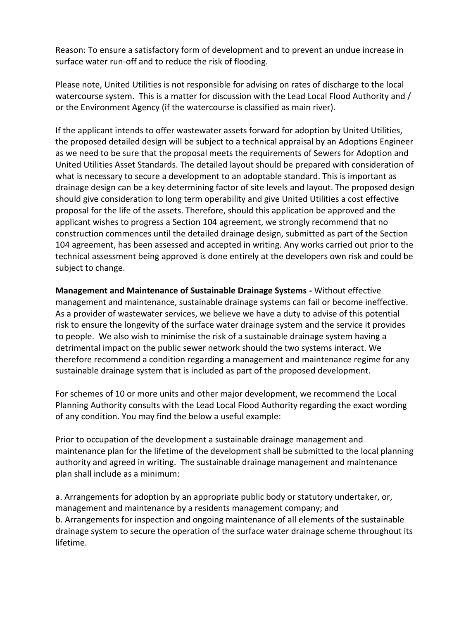Reason: To ensure a satisfactory form of development and to prevent an undue increase in surface water run-off and to reduce the risk of flooding.

Please note, United Utilities is not responsible for advising on rates of discharge to the local watercourse system. This is a matter for discussion with the Lead Local Flood Authority and / or the Environment Agency (if the watercourse is classified as main river).

If the applicant intends to offer wastewater assets forward for adoption by United Utilities, the proposed detailed design will be subject to a technical appraisal by an Adoptions Engineer as we need to be sure that the proposal meets the requirements of Sewers for Adoption and United Utilities Asset Standards. The detailed layout should be prepared with consideration of what is necessary to secure a development to an adoptable standard. This is important as drainage design can be a key determining factor of site levels and layout. The proposed design should give consideration to long term operability and give United Utilities a cost effective proposal for the life of the assets. Therefore, should this application be approved and the applicant wishes to progress a Section 104 agreement, we strongly recommend that no construction commences until the detailed drainage design, submitted as part of the Section 104 agreement, has been assessed and accepted in writing. Any works carried out prior to the technical assessment being approved is done entirely at the developers own risk and could be subject to change.

**Management and Maintenance of Sustainable Drainage Systems -** Without effective management and maintenance, sustainable drainage systems can fail or become ineffective. As a provider of wastewater services, we believe we have a duty to advise of this potential risk to ensure the longevity of the surface water drainage system and the service it provides to people. We also wish to minimise the risk of a sustainable drainage system having a detrimental impact on the public sewer network should the two systems interact. We therefore recommend a condition regarding a management and maintenance regime for any sustainable drainage system that is included as part of the proposed development.

For schemes of 10 or more units and other major development, we recommend the Local Planning Authority consults with the Lead Local Flood Authority regarding the exact wording of any condition. You may find the below a useful example:

Prior to occupation of the development a sustainable drainage management and maintenance plan for the lifetime of the development shall be submitted to the local planning authority and agreed in writing. The sustainable drainage management and maintenance plan shall include as a minimum:

a. Arrangements for adoption by an appropriate public body or statutory undertaker, or, management and maintenance by a residents management company; and b. Arrangements for inspection and ongoing maintenance of all elements of the sustainable drainage system to secure the operation of the surface water drainage scheme throughout its lifetime.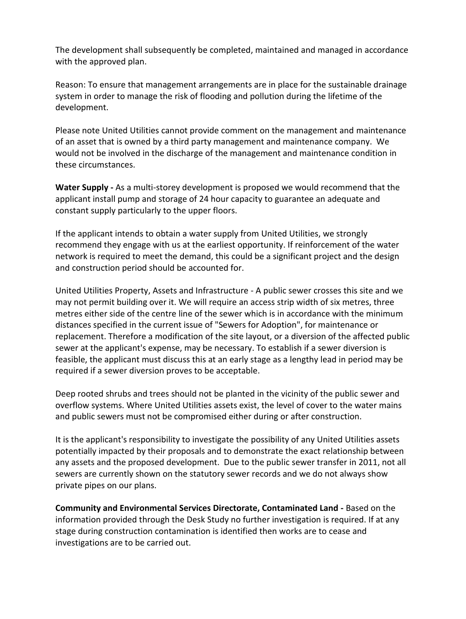The development shall subsequently be completed, maintained and managed in accordance with the approved plan.

Reason: To ensure that management arrangements are in place for the sustainable drainage system in order to manage the risk of flooding and pollution during the lifetime of the development.

Please note United Utilities cannot provide comment on the management and maintenance of an asset that is owned by a third party management and maintenance company. We would not be involved in the discharge of the management and maintenance condition in these circumstances.

**Water Supply -** As a multi-storey development is proposed we would recommend that the applicant install pump and storage of 24 hour capacity to guarantee an adequate and constant supply particularly to the upper floors.

If the applicant intends to obtain a water supply from United Utilities, we strongly recommend they engage with us at the earliest opportunity. If reinforcement of the water network is required to meet the demand, this could be a significant project and the design and construction period should be accounted for.

United Utilities Property, Assets and Infrastructure - A public sewer crosses this site and we may not permit building over it. We will require an access strip width of six metres, three metres either side of the centre line of the sewer which is in accordance with the minimum distances specified in the current issue of "Sewers for Adoption", for maintenance or replacement. Therefore a modification of the site layout, or a diversion of the affected public sewer at the applicant's expense, may be necessary. To establish if a sewer diversion is feasible, the applicant must discuss this at an early stage as a lengthy lead in period may be required if a sewer diversion proves to be acceptable.

Deep rooted shrubs and trees should not be planted in the vicinity of the public sewer and overflow systems. Where United Utilities assets exist, the level of cover to the water mains and public sewers must not be compromised either during or after construction.

It is the applicant's responsibility to investigate the possibility of any United Utilities assets potentially impacted by their proposals and to demonstrate the exact relationship between any assets and the proposed development. Due to the public sewer transfer in 2011, not all sewers are currently shown on the statutory sewer records and we do not always show private pipes on our plans.

**Community and Environmental Services Directorate, Contaminated Land -** Based on the information provided through the Desk Study no further investigation is required. If at any stage during construction contamination is identified then works are to cease and investigations are to be carried out.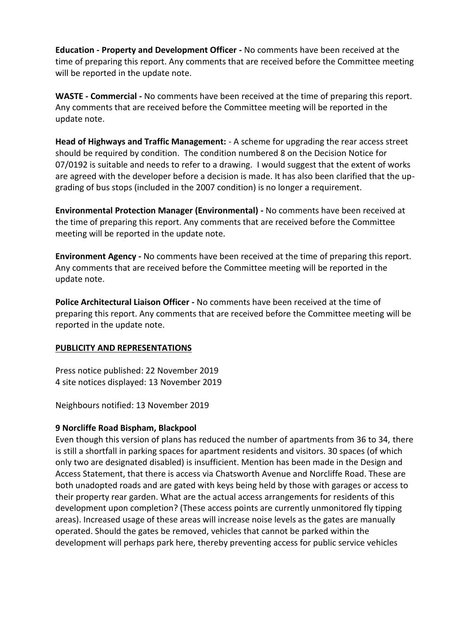**Education - Property and Development Officer -** No comments have been received at the time of preparing this report. Any comments that are received before the Committee meeting will be reported in the update note.

**WASTE - Commercial -** No comments have been received at the time of preparing this report. Any comments that are received before the Committee meeting will be reported in the update note.

**Head of Highways and Traffic Management:** - A scheme for upgrading the rear access street should be required by condition. The condition numbered 8 on the Decision Notice for 07/0192 is suitable and needs to refer to a drawing. I would suggest that the extent of works are agreed with the developer before a decision is made. It has also been clarified that the upgrading of bus stops (included in the 2007 condition) is no longer a requirement.

**Environmental Protection Manager (Environmental) -** No comments have been received at the time of preparing this report. Any comments that are received before the Committee meeting will be reported in the update note.

**Environment Agency -** No comments have been received at the time of preparing this report. Any comments that are received before the Committee meeting will be reported in the update note.

**Police Architectural Liaison Officer -** No comments have been received at the time of preparing this report. Any comments that are received before the Committee meeting will be reported in the update note.

# **PUBLICITY AND REPRESENTATIONS**

Press notice published: 22 November 2019 4 site notices displayed: 13 November 2019

Neighbours notified: 13 November 2019

# **9 Norcliffe Road Bispham, Blackpool**

Even though this version of plans has reduced the number of apartments from 36 to 34, there is still a shortfall in parking spaces for apartment residents and visitors. 30 spaces (of which only two are designated disabled) is insufficient. Mention has been made in the Design and Access Statement, that there is access via Chatsworth Avenue and Norcliffe Road. These are both unadopted roads and are gated with keys being held by those with garages or access to their property rear garden. What are the actual access arrangements for residents of this development upon completion? (These access points are currently unmonitored fly tipping areas). Increased usage of these areas will increase noise levels as the gates are manually operated. Should the gates be removed, vehicles that cannot be parked within the development will perhaps park here, thereby preventing access for public service vehicles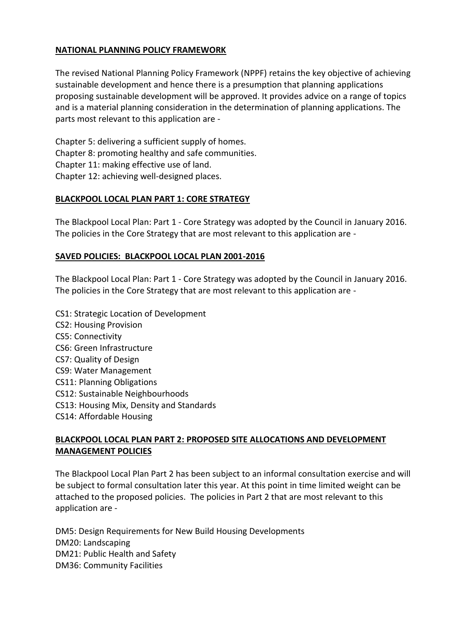### **NATIONAL PLANNING POLICY FRAMEWORK**

The revised National Planning Policy Framework (NPPF) retains the key objective of achieving sustainable development and hence there is a presumption that planning applications proposing sustainable development will be approved. It provides advice on a range of topics and is a material planning consideration in the determination of planning applications. The parts most relevant to this application are -

Chapter 5: delivering a sufficient supply of homes. Chapter 8: promoting healthy and safe communities. Chapter 11: making effective use of land. Chapter 12: achieving well-designed places.

### **BLACKPOOL LOCAL PLAN PART 1: CORE STRATEGY**

The Blackpool Local Plan: Part 1 - Core Strategy was adopted by the Council in January 2016. The policies in the Core Strategy that are most relevant to this application are -

### **SAVED POLICIES: BLACKPOOL LOCAL PLAN 2001-2016**

The Blackpool Local Plan: Part 1 - Core Strategy was adopted by the Council in January 2016. The policies in the Core Strategy that are most relevant to this application are -

CS1: Strategic Location of Development CS2: Housing Provision CS5: Connectivity CS6: Green Infrastructure CS7: Quality of Design CS9: Water Management CS11: Planning Obligations CS12: Sustainable Neighbourhoods CS13: Housing Mix, Density and Standards CS14: Affordable Housing

## **BLACKPOOL LOCAL PLAN PART 2: PROPOSED SITE ALLOCATIONS AND DEVELOPMENT MANAGEMENT POLICIES**

The Blackpool Local Plan Part 2 has been subject to an informal consultation exercise and will be subject to formal consultation later this year. At this point in time limited weight can be attached to the proposed policies. The policies in Part 2 that are most relevant to this application are -

DM5: Design Requirements for New Build Housing Developments DM20: Landscaping DM21: Public Health and Safety DM36: Community Facilities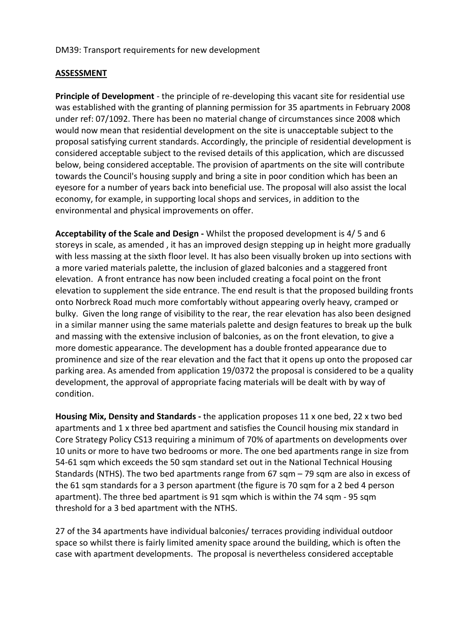### DM39: Transport requirements for new development

### **ASSESSMENT**

**Principle of Development** - the principle of re-developing this vacant site for residential use was established with the granting of planning permission for 35 apartments in February 2008 under ref: 07/1092. There has been no material change of circumstances since 2008 which would now mean that residential development on the site is unacceptable subject to the proposal satisfying current standards. Accordingly, the principle of residential development is considered acceptable subject to the revised details of this application, which are discussed below, being considered acceptable. The provision of apartments on the site will contribute towards the Council's housing supply and bring a site in poor condition which has been an eyesore for a number of years back into beneficial use. The proposal will also assist the local economy, for example, in supporting local shops and services, in addition to the environmental and physical improvements on offer.

**Acceptability of the Scale and Design -** Whilst the proposed development is 4/ 5 and 6 storeys in scale, as amended , it has an improved design stepping up in height more gradually with less massing at the sixth floor level. It has also been visually broken up into sections with a more varied materials palette, the inclusion of glazed balconies and a staggered front elevation. A front entrance has now been included creating a focal point on the front elevation to supplement the side entrance. The end result is that the proposed building fronts onto Norbreck Road much more comfortably without appearing overly heavy, cramped or bulky. Given the long range of visibility to the rear, the rear elevation has also been designed in a similar manner using the same materials palette and design features to break up the bulk and massing with the extensive inclusion of balconies, as on the front elevation, to give a more domestic appearance. The development has a double fronted appearance due to prominence and size of the rear elevation and the fact that it opens up onto the proposed car parking area. As amended from application 19/0372 the proposal is considered to be a quality development, the approval of appropriate facing materials will be dealt with by way of condition.

**Housing Mix, Density and Standards -** the application proposes 11 x one bed, 22 x two bed apartments and 1 x three bed apartment and satisfies the Council housing mix standard in Core Strategy Policy CS13 requiring a minimum of 70% of apartments on developments over 10 units or more to have two bedrooms or more. The one bed apartments range in size from 54-61 sqm which exceeds the 50 sqm standard set out in the National Technical Housing Standards (NTHS). The two bed apartments range from 67 sqm – 79 sqm are also in excess of the 61 sqm standards for a 3 person apartment (the figure is 70 sqm for a 2 bed 4 person apartment). The three bed apartment is 91 sqm which is within the 74 sqm - 95 sqm threshold for a 3 bed apartment with the NTHS.

27 of the 34 apartments have individual balconies/ terraces providing individual outdoor space so whilst there is fairly limited amenity space around the building, which is often the case with apartment developments. The proposal is nevertheless considered acceptable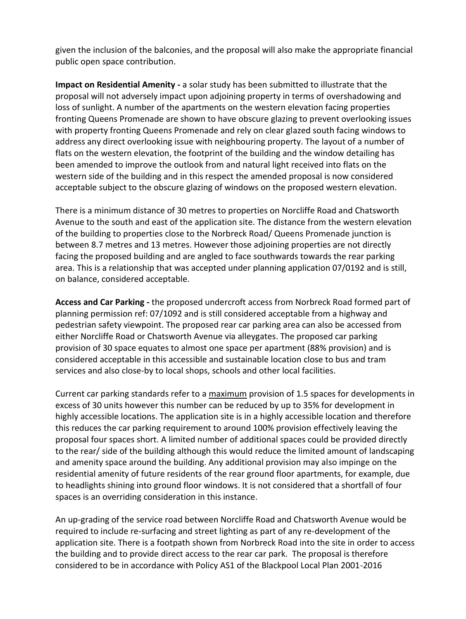given the inclusion of the balconies, and the proposal will also make the appropriate financial public open space contribution.

**Impact on Residential Amenity -** a solar study has been submitted to illustrate that the proposal will not adversely impact upon adjoining property in terms of overshadowing and loss of sunlight. A number of the apartments on the western elevation facing properties fronting Queens Promenade are shown to have obscure glazing to prevent overlooking issues with property fronting Queens Promenade and rely on clear glazed south facing windows to address any direct overlooking issue with neighbouring property. The layout of a number of flats on the western elevation, the footprint of the building and the window detailing has been amended to improve the outlook from and natural light received into flats on the western side of the building and in this respect the amended proposal is now considered acceptable subject to the obscure glazing of windows on the proposed western elevation.

There is a minimum distance of 30 metres to properties on Norcliffe Road and Chatsworth Avenue to the south and east of the application site. The distance from the western elevation of the building to properties close to the Norbreck Road/ Queens Promenade junction is between 8.7 metres and 13 metres. However those adjoining properties are not directly facing the proposed building and are angled to face southwards towards the rear parking area. This is a relationship that was accepted under planning application 07/0192 and is still, on balance, considered acceptable.

**Access and Car Parking -** the proposed undercroft access from Norbreck Road formed part of planning permission ref: 07/1092 and is still considered acceptable from a highway and pedestrian safety viewpoint. The proposed rear car parking area can also be accessed from either Norcliffe Road or Chatsworth Avenue via alleygates. The proposed car parking provision of 30 space equates to almost one space per apartment (88% provision) and is considered acceptable in this accessible and sustainable location close to bus and tram services and also close-by to local shops, schools and other local facilities.

Current car parking standards refer to a maximum provision of 1.5 spaces for developments in excess of 30 units however this number can be reduced by up to 35% for development in highly accessible locations. The application site is in a highly accessible location and therefore this reduces the car parking requirement to around 100% provision effectively leaving the proposal four spaces short. A limited number of additional spaces could be provided directly to the rear/ side of the building although this would reduce the limited amount of landscaping and amenity space around the building. Any additional provision may also impinge on the residential amenity of future residents of the rear ground floor apartments, for example, due to headlights shining into ground floor windows. It is not considered that a shortfall of four spaces is an overriding consideration in this instance.

An up-grading of the service road between Norcliffe Road and Chatsworth Avenue would be required to include re-surfacing and street lighting as part of any re-development of the application site. There is a footpath shown from Norbreck Road into the site in order to access the building and to provide direct access to the rear car park. The proposal is therefore considered to be in accordance with Policy AS1 of the Blackpool Local Plan 2001-2016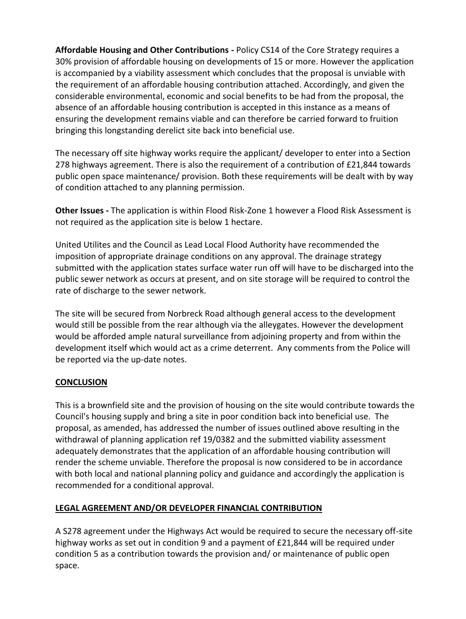**Affordable Housing and Other Contributions -** Policy CS14 of the Core Strategy requires a 30% provision of affordable housing on developments of 15 or more. However the application is accompanied by a viability assessment which concludes that the proposal is unviable with the requirement of an affordable housing contribution attached. Accordingly, and given the considerable environmental, economic and social benefits to be had from the proposal, the absence of an affordable housing contribution is accepted in this instance as a means of ensuring the development remains viable and can therefore be carried forward to fruition bringing this longstanding derelict site back into beneficial use.

The necessary off site highway works require the applicant/ developer to enter into a Section 278 highways agreement. There is also the requirement of a contribution of £21,844 towards public open space maintenance/ provision. Both these requirements will be dealt with by way of condition attached to any planning permission.

**Other Issues -** The application is within Flood Risk-Zone 1 however a Flood Risk Assessment is not required as the application site is below 1 hectare.

United Utilites and the Council as Lead Local Flood Authority have recommended the imposition of appropriate drainage conditions on any approval. The drainage strategy submitted with the application states surface water run off will have to be discharged into the public sewer network as occurs at present, and on site storage will be required to control the rate of discharge to the sewer network.

The site will be secured from Norbreck Road although general access to the development would still be possible from the rear although via the alleygates. However the development would be afforded ample natural surveillance from adjoining property and from within the development itself which would act as a crime deterrent. Any comments from the Police will be reported via the up-date notes.

# **CONCLUSION**

This is a brownfield site and the provision of housing on the site would contribute towards the Council's housing supply and bring a site in poor condition back into beneficial use. The proposal, as amended, has addressed the number of issues outlined above resulting in the withdrawal of planning application ref 19/0382 and the submitted viability assessment adequately demonstrates that the application of an affordable housing contribution will render the scheme unviable. Therefore the proposal is now considered to be in accordance with both local and national planning policy and guidance and accordingly the application is recommended for a conditional approval.

# **LEGAL AGREEMENT AND/OR DEVELOPER FINANCIAL CONTRIBUTION**

A S278 agreement under the Highways Act would be required to secure the necessary off-site highway works as set out in condition 9 and a payment of £21,844 will be required under condition 5 as a contribution towards the provision and/ or maintenance of public open space.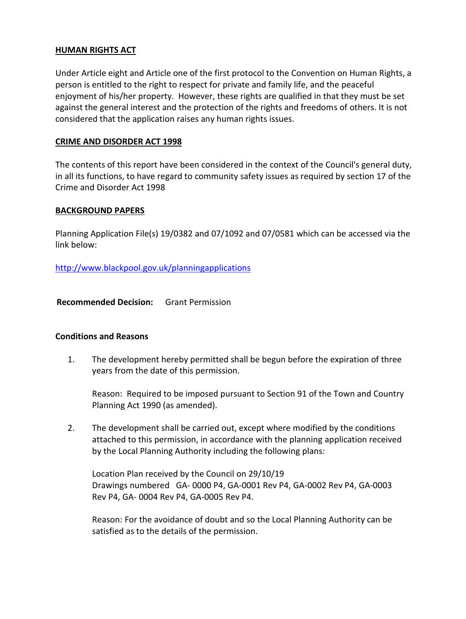#### **HUMAN RIGHTS ACT**

Under Article eight and Article one of the first protocol to the Convention on Human Rights, a person is entitled to the right to respect for private and family life, and the peaceful enjoyment of his/her property. However, these rights are qualified in that they must be set against the general interest and the protection of the rights and freedoms of others. It is not considered that the application raises any human rights issues.

### **CRIME AND DISORDER ACT 1998**

The contents of this report have been considered in the context of the Council's general duty, in all its functions, to have regard to community safety issues as required by section 17 of the Crime and Disorder Act 1998

### **BACKGROUND PAPERS**

Planning Application File(s) 19/0382 and 07/1092 and 07/0581 which can be accessed via the link below:

http://www.blackpool.gov.uk/planningapplications

**Recommended Decision:** Grant Permission

#### **Conditions and Reasons**

1. The development hereby permitted shall be begun before the expiration of three years from the date of this permission.

Reason: Required to be imposed pursuant to Section 91 of the Town and Country Planning Act 1990 (as amended).

2. The development shall be carried out, except where modified by the conditions attached to this permission, in accordance with the planning application received by the Local Planning Authority including the following plans:

Location Plan received by the Council on 29/10/19 Drawings numbered GA- 0000 P4, GA-0001 Rev P4, GA-0002 Rev P4, GA-0003 Rev P4, GA- 0004 Rev P4, GA-0005 Rev P4.

Reason: For the avoidance of doubt and so the Local Planning Authority can be satisfied as to the details of the permission.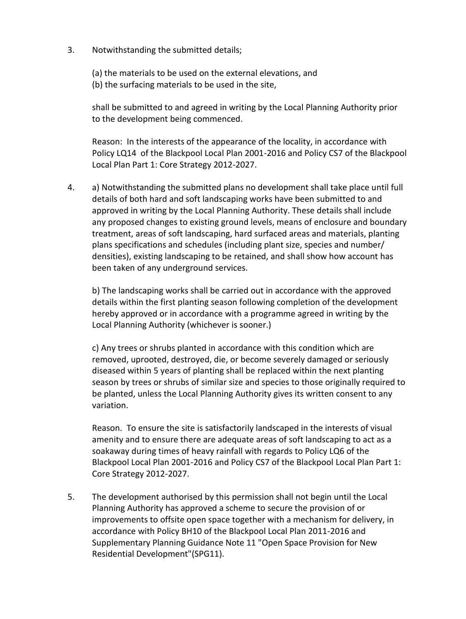3. Notwithstanding the submitted details;

(a) the materials to be used on the external elevations, and (b) the surfacing materials to be used in the site,

shall be submitted to and agreed in writing by the Local Planning Authority prior to the development being commenced.

Reason: In the interests of the appearance of the locality, in accordance with Policy LQ14 of the Blackpool Local Plan 2001-2016 and Policy CS7 of the Blackpool Local Plan Part 1: Core Strategy 2012-2027.

4. a) Notwithstanding the submitted plans no development shall take place until full details of both hard and soft landscaping works have been submitted to and approved in writing by the Local Planning Authority. These details shall include any proposed changes to existing ground levels, means of enclosure and boundary treatment, areas of soft landscaping, hard surfaced areas and materials, planting plans specifications and schedules (including plant size, species and number/ densities), existing landscaping to be retained, and shall show how account has been taken of any underground services.

b) The landscaping works shall be carried out in accordance with the approved details within the first planting season following completion of the development hereby approved or in accordance with a programme agreed in writing by the Local Planning Authority (whichever is sooner.)

c) Any trees or shrubs planted in accordance with this condition which are removed, uprooted, destroyed, die, or become severely damaged or seriously diseased within 5 years of planting shall be replaced within the next planting season by trees or shrubs of similar size and species to those originally required to be planted, unless the Local Planning Authority gives its written consent to any variation.

Reason. To ensure the site is satisfactorily landscaped in the interests of visual amenity and to ensure there are adequate areas of soft landscaping to act as a soakaway during times of heavy rainfall with regards to Policy LQ6 of the Blackpool Local Plan 2001-2016 and Policy CS7 of the Blackpool Local Plan Part 1: Core Strategy 2012-2027.

5. The development authorised by this permission shall not begin until the Local Planning Authority has approved a scheme to secure the provision of or improvements to offsite open space together with a mechanism for delivery, in accordance with Policy BH10 of the Blackpool Local Plan 2011-2016 and Supplementary Planning Guidance Note 11 "Open Space Provision for New Residential Development"(SPG11).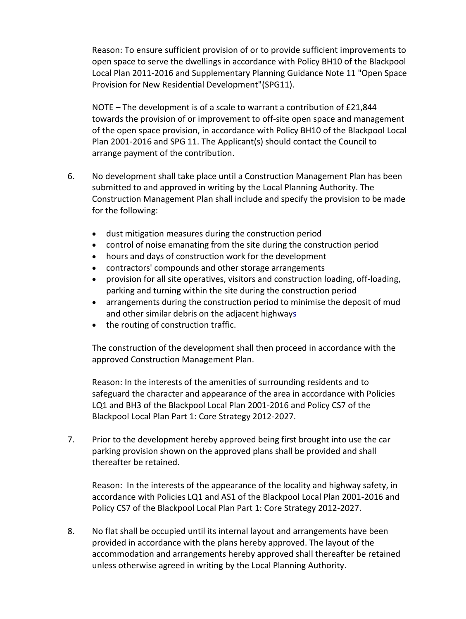Reason: To ensure sufficient provision of or to provide sufficient improvements to open space to serve the dwellings in accordance with Policy BH10 of the Blackpool Local Plan 2011-2016 and Supplementary Planning Guidance Note 11 "Open Space Provision for New Residential Development"(SPG11).

NOTE – The development is of a scale to warrant a contribution of £21,844 towards the provision of or improvement to off-site open space and management of the open space provision, in accordance with Policy BH10 of the Blackpool Local Plan 2001-2016 and SPG 11. The Applicant(s) should contact the Council to arrange payment of the contribution.

- 6. No development shall take place until a Construction Management Plan has been submitted to and approved in writing by the Local Planning Authority. The Construction Management Plan shall include and specify the provision to be made for the following:
	- dust mitigation measures during the construction period
	- control of noise emanating from the site during the construction period
	- hours and days of construction work for the development
	- contractors' compounds and other storage arrangements
	- provision for all site operatives, visitors and construction loading, off-loading, parking and turning within the site during the construction period
	- arrangements during the construction period to minimise the deposit of mud and other similar debris on the adjacent highways
	- the routing of construction traffic.

The construction of the development shall then proceed in accordance with the approved Construction Management Plan.

Reason: In the interests of the amenities of surrounding residents and to safeguard the character and appearance of the area in accordance with Policies LQ1 and BH3 of the Blackpool Local Plan 2001-2016 and Policy CS7 of the Blackpool Local Plan Part 1: Core Strategy 2012-2027.

7. Prior to the development hereby approved being first brought into use the car parking provision shown on the approved plans shall be provided and shall thereafter be retained.

Reason: In the interests of the appearance of the locality and highway safety, in accordance with Policies LQ1 and AS1 of the Blackpool Local Plan 2001-2016 and Policy CS7 of the Blackpool Local Plan Part 1: Core Strategy 2012-2027.

8. No flat shall be occupied until its internal layout and arrangements have been provided in accordance with the plans hereby approved. The layout of the accommodation and arrangements hereby approved shall thereafter be retained unless otherwise agreed in writing by the Local Planning Authority.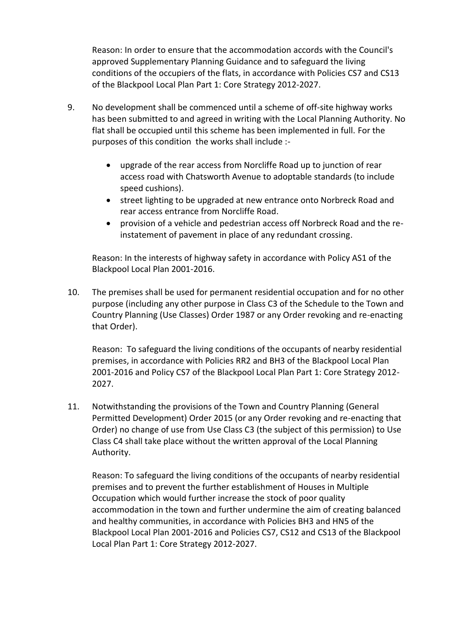Reason: In order to ensure that the accommodation accords with the Council's approved Supplementary Planning Guidance and to safeguard the living conditions of the occupiers of the flats, in accordance with Policies CS7 and CS13 of the Blackpool Local Plan Part 1: Core Strategy 2012-2027.

- 9. No development shall be commenced until a scheme of off-site highway works has been submitted to and agreed in writing with the Local Planning Authority. No flat shall be occupied until this scheme has been implemented in full. For the purposes of this condition the works shall include :
	- upgrade of the rear access from Norcliffe Road up to junction of rear access road with Chatsworth Avenue to adoptable standards (to include speed cushions).
	- street lighting to be upgraded at new entrance onto Norbreck Road and rear access entrance from Norcliffe Road.
	- provision of a vehicle and pedestrian access off Norbreck Road and the reinstatement of pavement in place of any redundant crossing.

Reason: In the interests of highway safety in accordance with Policy AS1 of the Blackpool Local Plan 2001-2016.

10. The premises shall be used for permanent residential occupation and for no other purpose (including any other purpose in Class C3 of the Schedule to the Town and Country Planning (Use Classes) Order 1987 or any Order revoking and re-enacting that Order).

Reason: To safeguard the living conditions of the occupants of nearby residential premises, in accordance with Policies RR2 and BH3 of the Blackpool Local Plan 2001-2016 and Policy CS7 of the Blackpool Local Plan Part 1: Core Strategy 2012- 2027.

11. Notwithstanding the provisions of the Town and Country Planning (General Permitted Development) Order 2015 (or any Order revoking and re-enacting that Order) no change of use from Use Class C3 (the subject of this permission) to Use Class C4 shall take place without the written approval of the Local Planning Authority.

Reason: To safeguard the living conditions of the occupants of nearby residential premises and to prevent the further establishment of Houses in Multiple Occupation which would further increase the stock of poor quality accommodation in the town and further undermine the aim of creating balanced and healthy communities, in accordance with Policies BH3 and HN5 of the Blackpool Local Plan 2001-2016 and Policies CS7, CS12 and CS13 of the Blackpool Local Plan Part 1: Core Strategy 2012-2027.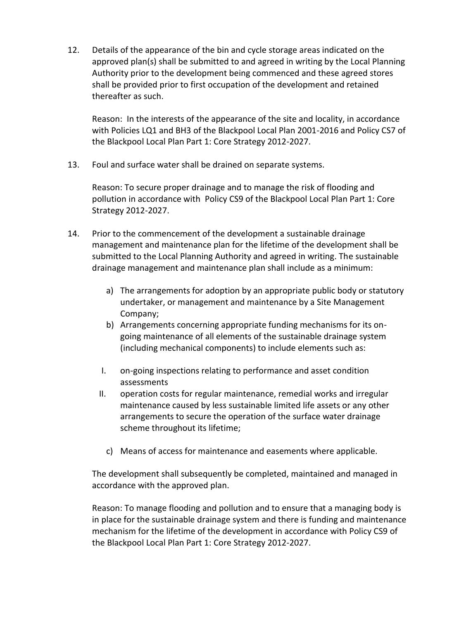12. Details of the appearance of the bin and cycle storage areas indicated on the approved plan(s) shall be submitted to and agreed in writing by the Local Planning Authority prior to the development being commenced and these agreed stores shall be provided prior to first occupation of the development and retained thereafter as such.

Reason: In the interests of the appearance of the site and locality, in accordance with Policies LQ1 and BH3 of the Blackpool Local Plan 2001-2016 and Policy CS7 of the Blackpool Local Plan Part 1: Core Strategy 2012-2027.

13. Foul and surface water shall be drained on separate systems.

Reason: To secure proper drainage and to manage the risk of flooding and pollution in accordance with Policy CS9 of the Blackpool Local Plan Part 1: Core Strategy 2012-2027.

- 14. Prior to the commencement of the development a sustainable drainage management and maintenance plan for the lifetime of the development shall be submitted to the Local Planning Authority and agreed in writing. The sustainable drainage management and maintenance plan shall include as a minimum:
	- a) The arrangements for adoption by an appropriate public body or statutory undertaker, or management and maintenance by a Site Management Company;
	- b) Arrangements concerning appropriate funding mechanisms for its ongoing maintenance of all elements of the sustainable drainage system (including mechanical components) to include elements such as:
	- I. on-going inspections relating to performance and asset condition assessments
	- II. operation costs for regular maintenance, remedial works and irregular maintenance caused by less sustainable limited life assets or any other arrangements to secure the operation of the surface water drainage scheme throughout its lifetime;
		- c) Means of access for maintenance and easements where applicable.

The development shall subsequently be completed, maintained and managed in accordance with the approved plan.

Reason: To manage flooding and pollution and to ensure that a managing body is in place for the sustainable drainage system and there is funding and maintenance mechanism for the lifetime of the development in accordance with Policy CS9 of the Blackpool Local Plan Part 1: Core Strategy 2012-2027.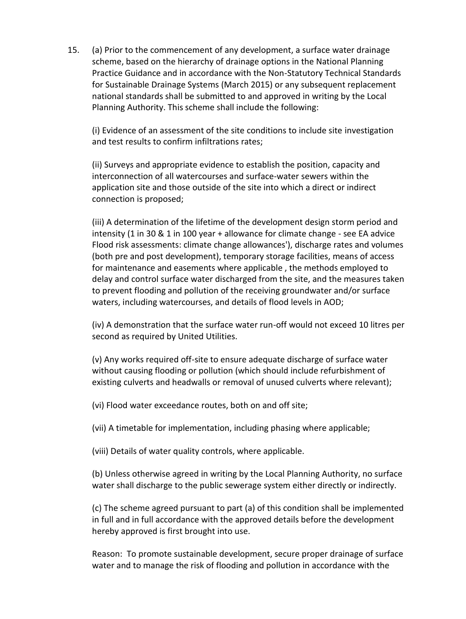15. (a) Prior to the commencement of any development, a surface water drainage scheme, based on the hierarchy of drainage options in the National Planning Practice Guidance and in accordance with the Non-Statutory Technical Standards for Sustainable Drainage Systems (March 2015) or any subsequent replacement national standards shall be submitted to and approved in writing by the Local Planning Authority. This scheme shall include the following:

(i) Evidence of an assessment of the site conditions to include site investigation and test results to confirm infiltrations rates;

(ii) Surveys and appropriate evidence to establish the position, capacity and interconnection of all watercourses and surface-water sewers within the application site and those outside of the site into which a direct or indirect connection is proposed;

(iii) A determination of the lifetime of the development design storm period and intensity (1 in 30 & 1 in 100 year + allowance for climate change - see EA advice Flood risk assessments: climate change allowances'), discharge rates and volumes (both pre and post development), temporary storage facilities, means of access for maintenance and easements where applicable , the methods employed to delay and control surface water discharged from the site, and the measures taken to prevent flooding and pollution of the receiving groundwater and/or surface waters, including watercourses, and details of flood levels in AOD;

(iv) A demonstration that the surface water run-off would not exceed 10 litres per second as required by United Utilities.

(v) Any works required off-site to ensure adequate discharge of surface water without causing flooding or pollution (which should include refurbishment of existing culverts and headwalls or removal of unused culverts where relevant);

(vi) Flood water exceedance routes, both on and off site;

(vii) A timetable for implementation, including phasing where applicable;

(viii) Details of water quality controls, where applicable.

(b) Unless otherwise agreed in writing by the Local Planning Authority, no surface water shall discharge to the public sewerage system either directly or indirectly.

(c) The scheme agreed pursuant to part (a) of this condition shall be implemented in full and in full accordance with the approved details before the development hereby approved is first brought into use.

Reason: To promote sustainable development, secure proper drainage of surface water and to manage the risk of flooding and pollution in accordance with the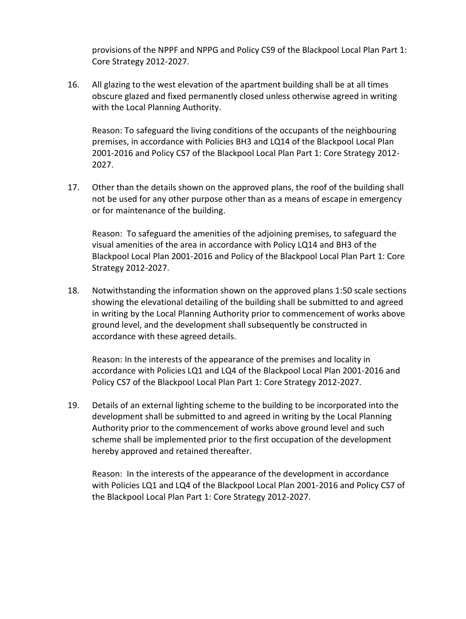provisions of the NPPF and NPPG and Policy CS9 of the Blackpool Local Plan Part 1: Core Strategy 2012-2027.

16. All glazing to the west elevation of the apartment building shall be at all times obscure glazed and fixed permanently closed unless otherwise agreed in writing with the Local Planning Authority.

Reason: To safeguard the living conditions of the occupants of the neighbouring premises, in accordance with Policies BH3 and LQ14 of the Blackpool Local Plan 2001-2016 and Policy CS7 of the Blackpool Local Plan Part 1: Core Strategy 2012- 2027.

17. Other than the details shown on the approved plans, the roof of the building shall not be used for any other purpose other than as a means of escape in emergency or for maintenance of the building.

Reason: To safeguard the amenities of the adjoining premises, to safeguard the visual amenities of the area in accordance with Policy LQ14 and BH3 of the Blackpool Local Plan 2001-2016 and Policy of the Blackpool Local Plan Part 1: Core Strategy 2012-2027.

18. Notwithstanding the information shown on the approved plans 1:50 scale sections showing the elevational detailing of the building shall be submitted to and agreed in writing by the Local Planning Authority prior to commencement of works above ground level, and the development shall subsequently be constructed in accordance with these agreed details.

Reason: In the interests of the appearance of the premises and locality in accordance with Policies LQ1 and LQ4 of the Blackpool Local Plan 2001-2016 and Policy CS7 of the Blackpool Local Plan Part 1: Core Strategy 2012-2027.

19. Details of an external lighting scheme to the building to be incorporated into the development shall be submitted to and agreed in writing by the Local Planning Authority prior to the commencement of works above ground level and such scheme shall be implemented prior to the first occupation of the development hereby approved and retained thereafter.

Reason: In the interests of the appearance of the development in accordance with Policies LQ1 and LQ4 of the Blackpool Local Plan 2001-2016 and Policy CS7 of the Blackpool Local Plan Part 1: Core Strategy 2012-2027.